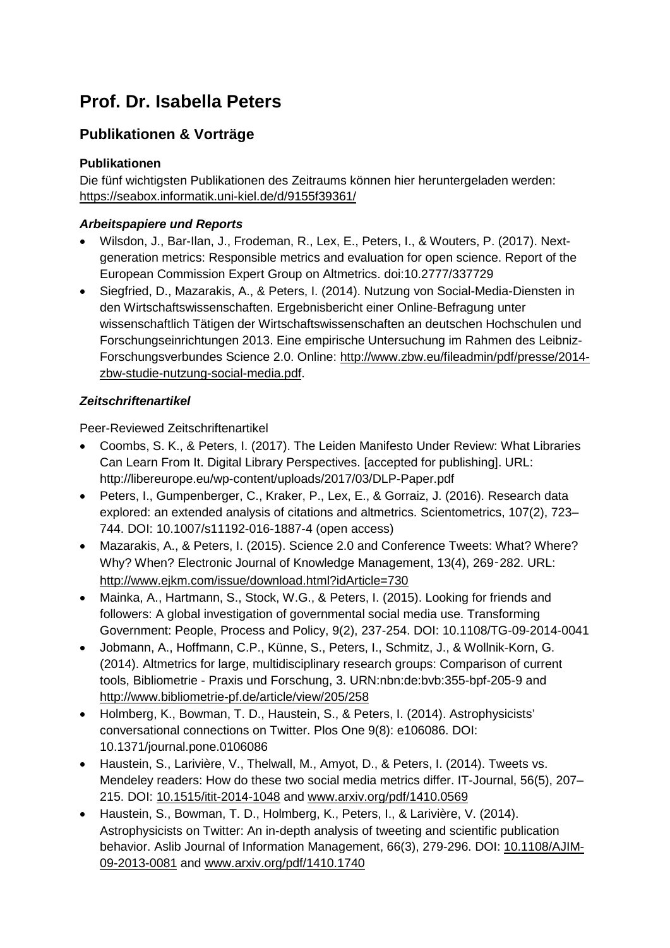# **Prof. Dr. Isabella Peters**

# **Publikationen & Vorträge**

#### **Publikationen**

Die fünf wichtigsten Publikationen des Zeitraums können hier heruntergeladen werden: <https://seabox.informatik.uni-kiel.de/d/9155f39361/>

#### *Arbeitspapiere und Reports*

- Wilsdon, J., Bar-Ilan, J., Frodeman, R., Lex, E., Peters, I., & Wouters, P. (2017). Nextgeneration metrics: Responsible metrics and evaluation for open science. Report of the European Commission Expert Group on Altmetrics. doi:10.2777/337729
- Siegfried, D., Mazarakis, A., & Peters, I. (2014). Nutzung von Social-Media-Diensten in den Wirtschaftswissenschaften. Ergebnisbericht einer Online-Befragung unter wissenschaftlich Tätigen der Wirtschaftswissenschaften an deutschen Hochschulen und Forschungseinrichtungen 2013. Eine empirische Untersuchung im Rahmen des Leibniz-Forschungsverbundes Science 2.0. Online: [http://www.zbw.eu/fileadmin/pdf/presse/2014](http://www.zbw.eu/fileadmin/pdf/presse/2014-zbw-studie-nutzung-social-media.pdf) [zbw-studie-nutzung-social-media.pdf.](http://www.zbw.eu/fileadmin/pdf/presse/2014-zbw-studie-nutzung-social-media.pdf)

#### *Zeitschriftenartikel*

Peer-Reviewed Zeitschriftenartikel

- Coombs, S. K., & Peters, I. (2017). The Leiden Manifesto Under Review: What Libraries Can Learn From It. Digital Library Perspectives. [accepted for publishing]. URL: http://libereurope.eu/wp-content/uploads/2017/03/DLP-Paper.pdf
- Peters, I., Gumpenberger, C., Kraker, P., Lex, E., & Gorraiz, J. (2016). Research data explored: an extended analysis of citations and altmetrics. Scientometrics, 107(2), 723– 744. DOI: 10.1007/s11192-016-1887-4 (open access)
- Mazarakis, A., & Peters, I. (2015). Science 2.0 and Conference Tweets: What? Where? Why? When? Electronic Journal of Knowledge Management, 13(4), 269-282. URL: <http://www.ejkm.com/issue/download.html?idArticle=730>
- Mainka, A., Hartmann, S., Stock, W.G., & Peters, I. (2015). Looking for friends and followers: A global investigation of governmental social media use. Transforming Government: People, Process and Policy, 9(2), 237-254. DOI: 10.1108/TG-09-2014-0041
- Jobmann, A., Hoffmann, C.P., Künne, S., Peters, I., Schmitz, J., & Wollnik-Korn, G. (2014). Altmetrics for large, multidisciplinary research groups: Comparison of current tools, Bibliometrie - Praxis und Forschung, 3. URN:nbn:de:bvb:355-bpf-205-9 and <http://www.bibliometrie-pf.de/article/view/205/258>
- Holmberg, K., Bowman, T. D., Haustein, S., & Peters, I. (2014). Astrophysicists' conversational connections on Twitter. Plos One 9(8): e106086. DOI: 10.1371/journal.pone.0106086
- Haustein, S., Larivière, V., Thelwall, M., Amyot, D., & Peters, I. (2014). Tweets vs. Mendeley readers: How do these two social media metrics differ. IT-Journal, 56(5), 207– 215. DOI: [10.1515/itit-2014-1048](http://dx.doi.org/10.1515/itit-2014-1048) and [www.arxiv.org/pdf/1410.0569](http://www.arxiv.org/pdf/1410.0569)
- Haustein, S., Bowman, T. D., Holmberg, K., Peters, I., & Larivière, V. (2014). Astrophysicists on Twitter: An in-depth analysis of tweeting and scientific publication behavior. Aslib Journal of Information Management, 66(3), 279-296. DOI: [10.1108/AJIM-](http://dx.doi.org/10.1108/AJIM-09-2013-0081)[09-2013-0081](http://dx.doi.org/10.1108/AJIM-09-2013-0081) and [www.arxiv.org/pdf/1410.1740](http://www.arxiv.org/pdf/1410.1740)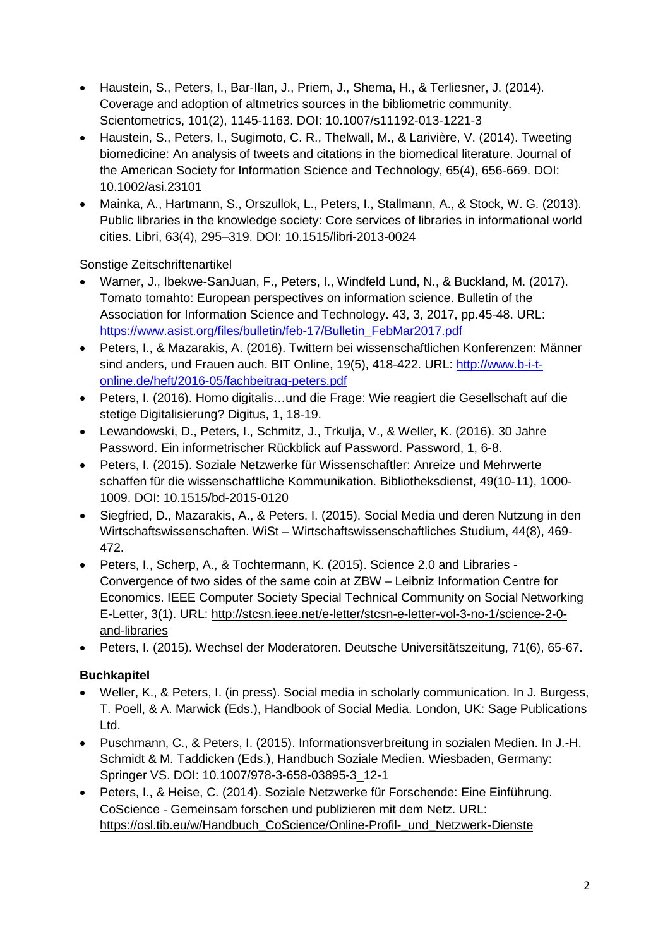- Haustein, S., Peters, I., Bar-Ilan, J., Priem, J., Shema, H., & Terliesner, J. (2014). Coverage and adoption of altmetrics sources in the bibliometric community. Scientometrics, 101(2), 1145-1163. DOI: 10.1007/s11192-013-1221-3
- Haustein, S., Peters, I., Sugimoto, C. R., Thelwall, M., & Larivière, V. (2014). Tweeting biomedicine: An analysis of tweets and citations in the biomedical literature. Journal of the American Society for Information Science and Technology, 65(4), 656-669. DOI: 10.1002/asi.23101
- Mainka, A., Hartmann, S., Orszullok, L., Peters, I., Stallmann, A., & Stock, W. G. (2013). Public libraries in the knowledge society: Core services of libraries in informational world cities. Libri, 63(4), 295–319. DOI: 10.1515/libri-2013-0024

Sonstige Zeitschriftenartikel

- Warner, J., Ibekwe-SanJuan, F., Peters, I., Windfeld Lund, N., & Buckland, M. (2017). Tomato tomahto: European perspectives on information science. Bulletin of the Association for Information Science and Technology. 43, 3, 2017, pp.45-48. URL: [https://www.asist.org/files/bulletin/feb-17/Bulletin\\_FebMar2017.pdf](https://www.asist.org/files/bulletin/feb-17/Bulletin_FebMar2017.pdf)
- Peters, I., & Mazarakis, A. (2016). Twittern bei wissenschaftlichen Konferenzen: Männer sind anders, und Frauen auch. BIT Online, 19(5), 418-422. URL: [http://www.b-i-t](http://www.b-i-t-online.de/heft/2016-05/fachbeitrag-peters.pdf)[online.de/heft/2016-05/fachbeitrag-peters.pdf](http://www.b-i-t-online.de/heft/2016-05/fachbeitrag-peters.pdf)
- Peters, I. (2016). Homo digitalis…und die Frage: Wie reagiert die Gesellschaft auf die stetige Digitalisierung? Digitus, 1, 18-19.
- Lewandowski, D., Peters, I., Schmitz, J., Trkulja, V., & Weller, K. (2016). 30 Jahre Password. Ein informetrischer Rückblick auf Password. Password, 1, 6-8.
- Peters, I. (2015). Soziale Netzwerke für Wissenschaftler: Anreize und Mehrwerte schaffen für die wissenschaftliche Kommunikation. Bibliotheksdienst, 49(10-11), 1000- 1009. DOI: 10.1515/bd-2015-0120
- Siegfried, D., Mazarakis, A., & Peters, I. (2015). Social Media und deren Nutzung in den Wirtschaftswissenschaften. WiSt – Wirtschaftswissenschaftliches Studium, 44(8), 469- 472.
- Peters, I., Scherp, A., & Tochtermann, K. (2015). Science 2.0 and Libraries Convergence of two sides of the same coin at ZBW – Leibniz Information Centre for Economics. IEEE Computer Society Special Technical Community on Social Networking E-Letter, 3(1). URL: [http://stcsn.ieee.net/e-letter/stcsn-e-letter-vol-3-no-1/science-2-0](http://stcsn.ieee.net/e-letter/stcsn-e-letter-vol-3-no-1/science-2-0-and-libraries) [and-libraries](http://stcsn.ieee.net/e-letter/stcsn-e-letter-vol-3-no-1/science-2-0-and-libraries)
- Peters, I. (2015). Wechsel der Moderatoren. Deutsche Universitätszeitung, 71(6), 65-67.

## **Buchkapitel**

- Weller, K., & Peters, I. (in press). Social media in scholarly communication. In J. Burgess, T. Poell, & A. Marwick (Eds.), Handbook of Social Media. London, UK: Sage Publications Ltd.
- Puschmann, C., & Peters, I. (2015). Informationsverbreitung in sozialen Medien. In J.-H. Schmidt & M. Taddicken (Eds.), Handbuch Soziale Medien. Wiesbaden, Germany: Springer VS. DOI: 10.1007/978-3-658-03895-3\_12-1
- Peters, I., & Heise, C. (2014). Soziale Netzwerke für Forschende: Eine Einführung. CoScience - Gemeinsam forschen und publizieren mit dem Netz. URL: [https://osl.tib.eu/w/Handbuch\\_CoScience/Online-Profil-\\_und\\_Netzwerk-Dienste](https://osl.tib.eu/w/Handbuch_CoScience/Online-Profil-_und_Netzwerk-Dienste)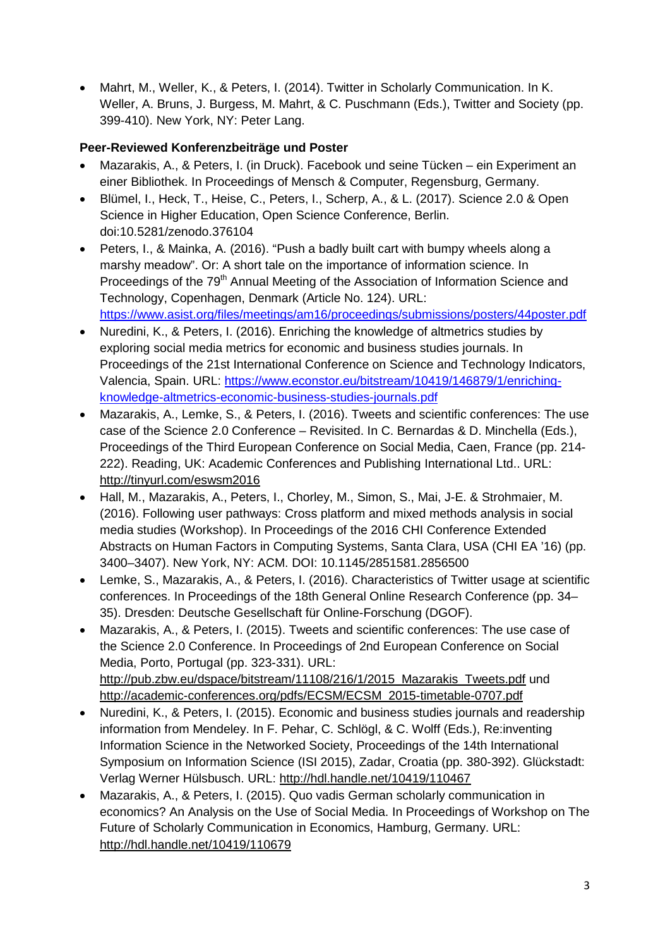• Mahrt, M., Weller, K., & Peters, I. (2014). Twitter in Scholarly Communication. In K. Weller, A. Bruns, J. Burgess, M. Mahrt, & C. Puschmann (Eds.), Twitter and Society (pp. 399-410). New York, NY: Peter Lang.

# **Peer-Reviewed Konferenzbeiträge und Poster**

- Mazarakis, A., & Peters, I. (in Druck). Facebook und seine Tücken ein Experiment an einer Bibliothek. In Proceedings of Mensch & Computer, Regensburg, Germany.
- Blümel, I., Heck, T., Heise, C., Peters, I., Scherp, A., & L. (2017). Science 2.0 & Open Science in Higher Education, Open Science Conference, Berlin. doi:10.5281/zenodo.376104
- Peters, I., & Mainka, A. (2016). "Push a badly built cart with bumpy wheels along a marshy meadow". Or: A short tale on the importance of information science. In Proceedings of the 79<sup>th</sup> Annual Meeting of the Association of Information Science and Technology, Copenhagen, Denmark (Article No. 124). URL: <https://www.asist.org/files/meetings/am16/proceedings/submissions/posters/44poster.pdf>
- Nuredini, K., & Peters, I. (2016). Enriching the knowledge of altmetrics studies by exploring social media metrics for economic and business studies journals. In Proceedings of the 21st International Conference on Science and Technology Indicators, Valencia, Spain. URL: [https://www.econstor.eu/bitstream/10419/146879/1/enriching](https://www.econstor.eu/bitstream/10419/146879/1/enriching-knowledge-altmetrics-economic-business-studies-journals.pdf)[knowledge-altmetrics-economic-business-studies-journals.pdf](https://www.econstor.eu/bitstream/10419/146879/1/enriching-knowledge-altmetrics-economic-business-studies-journals.pdf)
- Mazarakis, A., Lemke, S., & Peters, I. (2016). Tweets and scientific conferences: The use case of the Science 2.0 Conference – Revisited. In C. Bernardas & D. Minchella (Eds.), Proceedings of the Third European Conference on Social Media, Caen, France (pp. 214- 222). Reading, UK: Academic Conferences and Publishing International Ltd.. URL: <http://tinyurl.com/eswsm2016>
- Hall, M., Mazarakis, A., Peters, I., Chorley, M., Simon, S., Mai, J-E. & Strohmaier, M. (2016). Following user pathways: Cross platform and mixed methods analysis in social media studies (Workshop). In Proceedings of the 2016 CHI Conference Extended Abstracts on Human Factors in Computing Systems, Santa Clara, USA (CHI EA '16) (pp. 3400–3407). New York, NY: ACM. DOI: 10.1145/2851581.2856500
- Lemke, S., Mazarakis, A., & Peters, I. (2016). Characteristics of Twitter usage at scientific conferences. In Proceedings of the 18th General Online Research Conference (pp. 34– 35). Dresden: Deutsche Gesellschaft für Online-Forschung (DGOF).
- Mazarakis, A., & Peters, I. (2015). Tweets and scientific conferences: The use case of the Science 2.0 Conference. In Proceedings of 2nd European Conference on Social Media, Porto, Portugal (pp. 323-331). URL: http://pub.zbw.eu/dspace/bitstream/11108/216/1/2015 Mazarakis Tweets.pdf und [http://academic-conferences.org/pdfs/ECSM/ECSM\\_2015-timetable-0707.pdf](http://academic-conferences.org/pdfs/ECSM/ECSM_2015-timetable-0707.pdf)
- Nuredini, K., & Peters, I. (2015). Economic and business studies journals and readership information from Mendeley. In F. Pehar, C. Schlögl, & C. Wolff (Eds.), Re:inventing Information Science in the Networked Society, Proceedings of the 14th International Symposium on Information Science (ISI 2015), Zadar, Croatia (pp. 380-392). Glückstadt: Verlag Werner Hülsbusch. URL:<http://hdl.handle.net/10419/110467>
- Mazarakis, A., & Peters, I. (2015). Quo vadis German scholarly communication in economics? An Analysis on the Use of Social Media. In Proceedings of Workshop on The Future of Scholarly Communication in Economics, Hamburg, Germany. URL: <http://hdl.handle.net/10419/110679>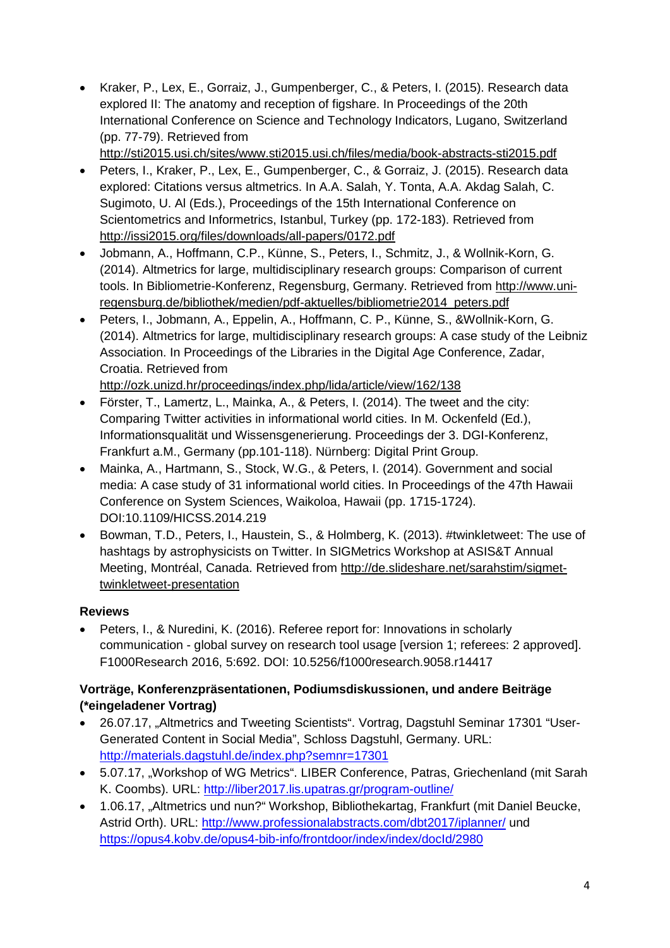• Kraker, P., Lex, E., Gorraiz, J., Gumpenberger, C., & Peters, I. (2015). Research data explored II: The anatomy and reception of figshare. In Proceedings of the 20th International Conference on Science and Technology Indicators, Lugano, Switzerland (pp. 77-79). Retrieved from

<http://sti2015.usi.ch/sites/www.sti2015.usi.ch/files/media/book-abstracts-sti2015.pdf>

- Peters, I., Kraker, P., Lex, E., Gumpenberger, C., & Gorraiz, J. (2015). Research data explored: Citations versus altmetrics. In A.A. Salah, Y. Tonta, A.A. Akdag Salah, C. Sugimoto, U. Al (Eds.), Proceedings of the 15th International Conference on Scientometrics and Informetrics, Istanbul, Turkey (pp. 172-183). Retrieved from <http://issi2015.org/files/downloads/all-papers/0172.pdf>
- Jobmann, A., Hoffmann, C.P., Künne, S., Peters, I., Schmitz, J., & Wollnik-Korn, G. (2014). Altmetrics for large, multidisciplinary research groups: Comparison of current tools. In Bibliometrie-Konferenz, Regensburg, Germany. Retrieved from [http://www.uni](http://www.uni-regensburg.de/bibliothek/medien/pdf-aktuelles/bibliometrie2014_peters.pdf)[regensburg.de/bibliothek/medien/pdf-aktuelles/bibliometrie2014\\_peters.pdf](http://www.uni-regensburg.de/bibliothek/medien/pdf-aktuelles/bibliometrie2014_peters.pdf)
- Peters, I., Jobmann, A., Eppelin, A., Hoffmann, C. P., Künne, S., &Wollnik-Korn, G. (2014). Altmetrics for large, multidisciplinary research groups: A case study of the Leibniz Association. In Proceedings of the Libraries in the Digital Age Conference, Zadar, Croatia. Retrieved from

<http://ozk.unizd.hr/proceedings/index.php/lida/article/view/162/138>

- Förster, T., Lamertz, L., Mainka, A., & Peters, I. (2014). The tweet and the city: Comparing Twitter activities in informational world cities. In M. Ockenfeld (Ed.), Informationsqualität und Wissensgenerierung. Proceedings der 3. DGI-Konferenz, Frankfurt a.M., Germany (pp.101-118). Nürnberg: Digital Print Group.
- Mainka, A., Hartmann, S., Stock, W.G., & Peters, I. (2014). Government and social media: A case study of 31 informational world cities. In Proceedings of the 47th Hawaii Conference on System Sciences, Waikoloa, Hawaii (pp. 1715-1724). DOI:10.1109/HICSS.2014.219
- Bowman, T.D., Peters, I., Haustein, S., & Holmberg, K. (2013). #twinkletweet: The use of hashtags by astrophysicists on Twitter. In SIGMetrics Workshop at ASIS&T Annual Meeting, Montréal, Canada. Retrieved from [http://de.slideshare.net/sarahstim/sigmet](http://de.slideshare.net/sarahstim/sigmet-twinkletweet-presentation)[twinkletweet-presentation](http://de.slideshare.net/sarahstim/sigmet-twinkletweet-presentation)

## **Reviews**

• Peters, I., & Nuredini, K. (2016). Referee report for: Innovations in scholarly communication - global survey on research tool usage [version 1; referees: 2 approved]. F1000Research 2016, 5:692. DOI: 10.5256/f1000research.9058.r14417

#### **Vorträge, Konferenzpräsentationen, Podiumsdiskussionen, und andere Beiträge (\*eingeladener Vortrag)**

- 26.07.17, "Altmetrics and Tweeting Scientists". Vortrag, Dagstuhl Seminar 17301 "User-Generated Content in Social Media", Schloss Dagstuhl, Germany. URL: <http://materials.dagstuhl.de/index.php?semnr=17301>
- 5.07.17, "Workshop of WG Metrics". LIBER Conference, Patras, Griechenland (mit Sarah K. Coombs). URL:<http://liber2017.lis.upatras.gr/program-outline/>
- 1.06.17, "Altmetrics und nun?" Workshop, Bibliothekartag, Frankfurt (mit Daniel Beucke, Astrid Orth). URL:<http://www.professionalabstracts.com/dbt2017/iplanner/> und <https://opus4.kobv.de/opus4-bib-info/frontdoor/index/index/docId/2980>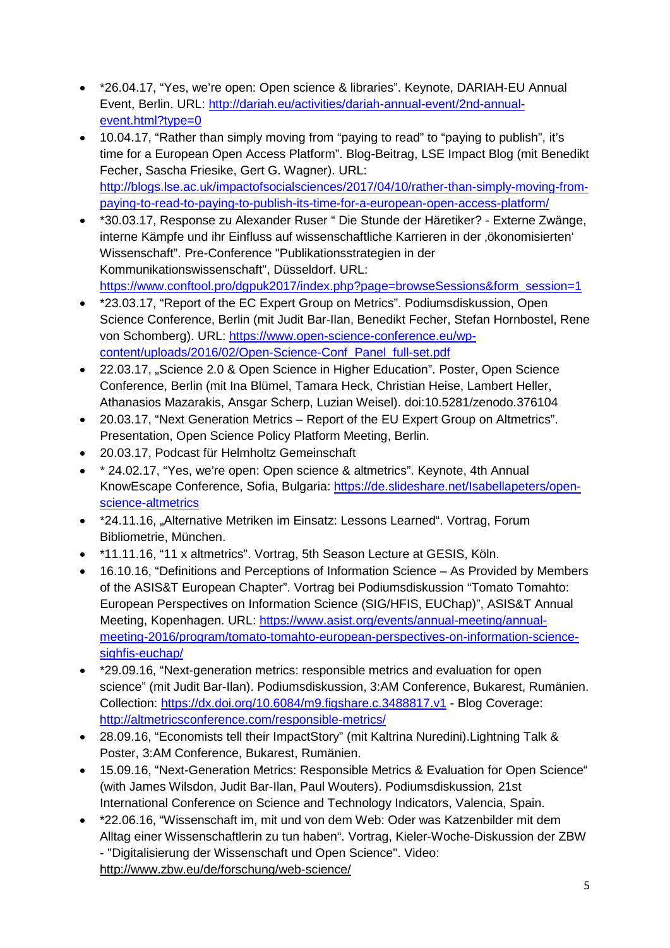- \*26.04.17, "Yes, we're open: Open science & libraries". Keynote, DARIAH-EU Annual Event, Berlin. URL: [http://dariah.eu/activities/dariah-annual-event/2nd-annual](http://dariah.eu/activities/dariah-annual-event/2nd-annual-event.html?type=0)[event.html?type=0](http://dariah.eu/activities/dariah-annual-event/2nd-annual-event.html?type=0)
- 10.04.17, "Rather than simply moving from "paying to read" to "paying to publish", it's time for a European Open Access Platform". Blog-Beitrag, LSE Impact Blog (mit Benedikt Fecher, Sascha Friesike, Gert G. Wagner). URL: [http://blogs.lse.ac.uk/impactofsocialsciences/2017/04/10/rather-than-simply-moving-from](http://blogs.lse.ac.uk/impactofsocialsciences/2017/04/10/rather-than-simply-moving-from-paying-to-read-to-paying-to-publish-its-time-for-a-european-open-access-platform/)[paying-to-read-to-paying-to-publish-its-time-for-a-european-open-access-platform/](http://blogs.lse.ac.uk/impactofsocialsciences/2017/04/10/rather-than-simply-moving-from-paying-to-read-to-paying-to-publish-its-time-for-a-european-open-access-platform/)
- \*30.03.17, Response zu Alexander Ruser " Die Stunde der Häretiker? Externe Zwänge, interne Kämpfe und ihr Einfluss auf wissenschaftliche Karrieren in der ,ökonomisierten' Wissenschaft". Pre-Conference "Publikationsstrategien in der Kommunikationswissenschaft", Düsseldorf. URL: [https://www.conftool.pro/dgpuk2017/index.php?page=browseSessions&form\\_session=1](https://www.conftool.pro/dgpuk2017/index.php?page=browseSessions&form_session=1)
- \*23.03.17, "Report of the EC Expert Group on Metrics". Podiumsdiskussion, Open Science Conference, Berlin (mit Judit Bar-Ilan, Benedikt Fecher, Stefan Hornbostel, Rene von Schomberg). URL: [https://www.open-science-conference.eu/wp](https://www.open-science-conference.eu/wp-content/uploads/2016/02/Open-Science-Conf_Panel_full-set.pdf)[content/uploads/2016/02/Open-Science-Conf\\_Panel\\_full-set.pdf](https://www.open-science-conference.eu/wp-content/uploads/2016/02/Open-Science-Conf_Panel_full-set.pdf)
- 22.03.17, "Science 2.0 & Open Science in Higher Education". Poster, Open Science Conference, Berlin (mit Ina Blümel, Tamara Heck, Christian Heise, Lambert Heller, Athanasios Mazarakis, Ansgar Scherp, Luzian Weisel). doi:10.5281/zenodo.376104
- 20.03.17, "Next Generation Metrics Report of the EU Expert Group on Altmetrics". Presentation, Open Science Policy Platform Meeting, Berlin.
- 20.03.17, Podcast für Helmholtz Gemeinschaft
- \* 24.02.17, "Yes, we're open: Open science & altmetrics". Keynote, 4th Annual KnowEscape Conference, Sofia, Bulgaria: [https://de.slideshare.net/Isabellapeters/open](https://de.slideshare.net/Isabellapeters/open-science-altmetrics)[science-altmetrics](https://de.slideshare.net/Isabellapeters/open-science-altmetrics)
- \*24.11.16, "Alternative Metriken im Einsatz: Lessons Learned". Vortrag, Forum Bibliometrie, München.
- \*11.11.16, "11 x altmetrics". Vortrag, 5th Season Lecture at GESIS, Köln.
- 16.10.16, "Definitions and Perceptions of Information Science As Provided by Members of the ASIS&T European Chapter". Vortrag bei Podiumsdiskussion "Tomato Tomahto: European Perspectives on Information Science (SIG/HFIS, EUChap)", ASIS&T Annual Meeting, Kopenhagen. URL: [https://www.asist.org/events/annual-meeting/annual](https://www.asist.org/events/annual-meeting/annual-meeting-2016/program/tomato-tomahto-european-perspectives-on-information-science-sighfis-euchap/)[meeting-2016/program/tomato-tomahto-european-perspectives-on-information-science](https://www.asist.org/events/annual-meeting/annual-meeting-2016/program/tomato-tomahto-european-perspectives-on-information-science-sighfis-euchap/)[sighfis-euchap/](https://www.asist.org/events/annual-meeting/annual-meeting-2016/program/tomato-tomahto-european-perspectives-on-information-science-sighfis-euchap/)
- \*29.09.16, "Next-generation metrics: responsible metrics and evaluation for open science" (mit Judit Bar-Ilan). Podiumsdiskussion, 3:AM Conference, Bukarest, Rumänien. Collection:<https://dx.doi.org/10.6084/m9.figshare.c.3488817.v1> - Blog Coverage: <http://altmetricsconference.com/responsible-metrics/>
- 28.09.16, "Economists tell their ImpactStory" (mit Kaltrina Nuredini).Lightning Talk & Poster, 3:AM Conference, Bukarest, Rumänien.
- 15.09.16, "Next-Generation Metrics: Responsible Metrics & Evaluation for Open Science" (with James Wilsdon, Judit Bar-Ilan, Paul Wouters). Podiumsdiskussion, 21st International Conference on Science and Technology Indicators, Valencia, Spain.
- \*22.06.16, "Wissenschaft im, mit und von dem Web: Oder was Katzenbilder mit dem Alltag einer Wissenschaftlerin zu tun haben". Vortrag, Kieler-Woche-Diskussion der ZBW - "Digitalisierung der Wissenschaft und Open Science". Video: <http://www.zbw.eu/de/forschung/web-science/>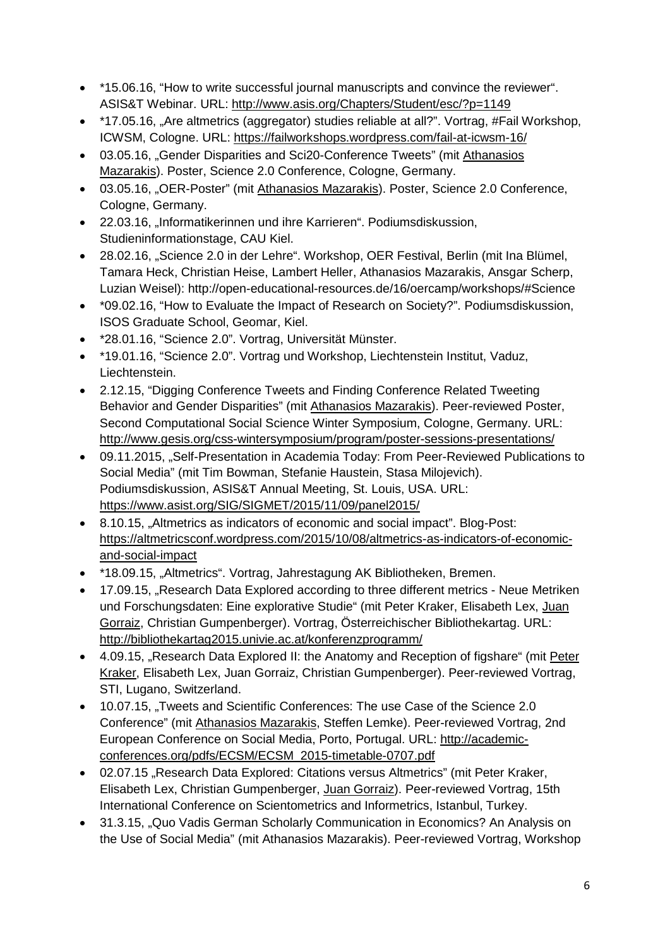- \*15.06.16, "How to write successful journal manuscripts and convince the reviewer". ASIS&T Webinar. URL:<http://www.asis.org/Chapters/Student/esc/?p=1149>
- \*17.05.16, "Are altmetrics (aggregator) studies reliable at all?". Vortrag, #Fail Workshop, ICWSM, Cologne. URL:<https://failworkshops.wordpress.com/fail-at-icwsm-16/>
- 03.05.16, "Gender Disparities and Sci20-Conference Tweets" (mit Athanasios Mazarakis). Poster, Science 2.0 Conference, Cologne, Germany.
- 03.05.16, "OER-Poster" (mit Athanasios Mazarakis). Poster, Science 2.0 Conference, Cologne, Germany.
- 22.03.16, "Informatikerinnen und ihre Karrieren". Podiumsdiskussion, Studieninformationstage, CAU Kiel.
- 28.02.16, "Science 2.0 in der Lehre". Workshop, OER Festival, Berlin (mit Ina Blümel, Tamara Heck, Christian Heise, Lambert Heller, Athanasios Mazarakis, Ansgar Scherp, Luzian Weisel): http://open-educational-resources.de/16/oercamp/workshops/#Science
- \*09.02.16, "How to Evaluate the Impact of Research on Society?". Podiumsdiskussion, ISOS Graduate School, Geomar, Kiel.
- \*28.01.16, "Science 2.0". Vortrag, Universität Münster.
- \*19.01.16, "Science 2.0". Vortrag und Workshop, Liechtenstein Institut, Vaduz, Liechtenstein.
- 2.12.15, "Digging Conference Tweets and Finding Conference Related Tweeting Behavior and Gender Disparities" (mit Athanasios Mazarakis). Peer-reviewed Poster, Second Computational Social Science Winter Symposium, Cologne, Germany. URL: <http://www.gesis.org/css-wintersymposium/program/poster-sessions-presentations/>
- 09.11.2015, "Self-Presentation in Academia Today: From Peer-Reviewed Publications to Social Media" (mit Tim Bowman, Stefanie Haustein, Stasa Milojevich). Podiumsdiskussion, ASIS&T Annual Meeting, St. Louis, USA. URL: <https://www.asist.org/SIG/SIGMET/2015/11/09/panel2015/>
- 8.10.15, "Altmetrics as indicators of economic and social impact". Blog-Post: [https://altmetricsconf.wordpress.com/2015/10/08/altmetrics-as-indicators-of-economic](https://altmetricsconf.wordpress.com/2015/10/08/altmetrics-as-indicators-of-economic-and-social-impact)[and-social-impact](https://altmetricsconf.wordpress.com/2015/10/08/altmetrics-as-indicators-of-economic-and-social-impact)
- \*18.09.15, "Altmetrics". Vortrag, Jahrestagung AK Bibliotheken, Bremen.
- 17.09.15, "Research Data Explored according to three different metrics Neue Metriken und Forschungsdaten: Eine explorative Studie" (mit Peter Kraker, Elisabeth Lex, Juan Gorraiz, Christian Gumpenberger). Vortrag, Österreichischer Bibliothekartag. URL: <http://bibliothekartag2015.univie.ac.at/konferenzprogramm/>
- 4.09.15, "Research Data Explored II: the Anatomy and Reception of figshare" (mit Peter Kraker, Elisabeth Lex, Juan Gorraiz, Christian Gumpenberger). Peer-reviewed Vortrag, STI, Lugano, Switzerland.
- 10.07.15, "Tweets and Scientific Conferences: The use Case of the Science 2.0 Conference" (mit Athanasios Mazarakis, Steffen Lemke). Peer-reviewed Vortrag, 2nd European Conference on Social Media, Porto, Portugal. URL: [http://academic](http://academic-conferences.org/pdfs/ECSM/ECSM_2015-timetable-0707.pdf)[conferences.org/pdfs/ECSM/ECSM\\_2015-timetable-0707.pdf](http://academic-conferences.org/pdfs/ECSM/ECSM_2015-timetable-0707.pdf)
- 02.07.15 .Research Data Explored: Citations versus Altmetrics" (mit Peter Kraker, Elisabeth Lex, Christian Gumpenberger, Juan Gorraiz). Peer-reviewed Vortrag, 15th International Conference on Scientometrics and Informetrics, Istanbul, Turkey.
- 31.3.15, "Quo Vadis German Scholarly Communication in Economics? An Analysis on the Use of Social Media" (mit Athanasios Mazarakis). Peer-reviewed Vortrag, Workshop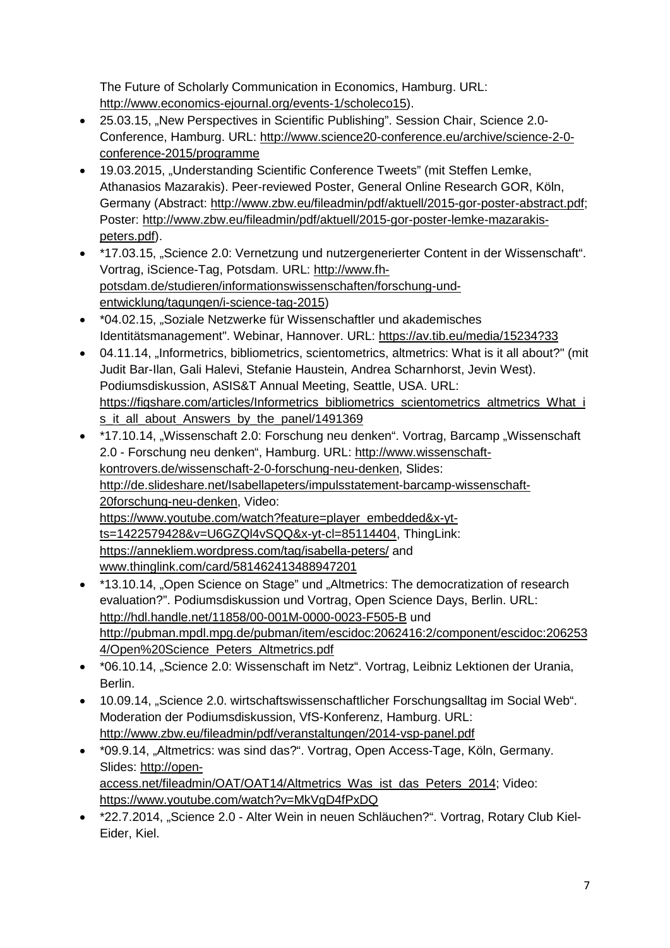The Future of Scholarly Communication in Economics, Hamburg. URL: [http://www.economics-ejournal.org/events-1/scholeco15\)](http://www.economics-ejournal.org/events-1/scholeco15).

- 25.03.15, "New Perspectives in Scientific Publishing". Session Chair, Science 2.0-Conference, Hamburg. URL: [http://www.science20-conference.eu/archive/science-2-0](http://www.science20-conference.eu/archive/science-2-0-conference-2015/programme) [conference-2015/programme](http://www.science20-conference.eu/archive/science-2-0-conference-2015/programme)
- 19.03.2015, "Understanding Scientific Conference Tweets" (mit Steffen Lemke, Athanasios Mazarakis). Peer-reviewed Poster, General Online Research GOR, Köln, Germany (Abstract: [http://www.zbw.eu/fileadmin/pdf/aktuell/2015-gor-poster-abstract.pdf;](http://www.zbw.eu/fileadmin/pdf/aktuell/2015-gor-poster-abstract.pdf) Poster: [http://www.zbw.eu/fileadmin/pdf/aktuell/2015-gor-poster-lemke-mazarakis](http://www.zbw.eu/fileadmin/pdf/aktuell/2015-gor-poster-lemke-mazarakis-peters.pdf)[peters.pdf\)](http://www.zbw.eu/fileadmin/pdf/aktuell/2015-gor-poster-lemke-mazarakis-peters.pdf).
- \*17.03.15, "Science 2.0: Vernetzung und nutzergenerierter Content in der Wissenschaft". Vortrag, iScience-Tag, Potsdam. URL: [http://www.fh](http://www.fh-potsdam.de/studieren/informationswissenschaften/forschung-und-entwicklung/tagungen/i-science-tag-2015)[potsdam.de/studieren/informationswissenschaften/forschung-und](http://www.fh-potsdam.de/studieren/informationswissenschaften/forschung-und-entwicklung/tagungen/i-science-tag-2015)[entwicklung/tagungen/i-science-tag-2015\)](http://www.fh-potsdam.de/studieren/informationswissenschaften/forschung-und-entwicklung/tagungen/i-science-tag-2015)
- \*04.02.15, "Soziale Netzwerke für Wissenschaftler und akademisches Identitätsmanagement". Webinar, Hannover. URL:<https://av.tib.eu/media/15234?33>
- 04.11.14, "Informetrics, bibliometrics, scientometrics, altmetrics: What is it all about?" (mit Judit Bar-Ilan, Gali Halevi, Stefanie Haustein, Andrea Scharnhorst, Jevin West). Podiumsdiskussion, ASIS&T Annual Meeting, Seattle, USA. URL: [https://figshare.com/articles/Informetrics\\_bibliometrics\\_scientometrics\\_altmetrics\\_What\\_i](https://figshare.com/articles/Informetrics_bibliometrics_scientometrics_altmetrics_What_is_it_all_about_Answers_by_the_panel/1491369) [s\\_it\\_all\\_about\\_Answers\\_by\\_the\\_panel/1491369](https://figshare.com/articles/Informetrics_bibliometrics_scientometrics_altmetrics_What_is_it_all_about_Answers_by_the_panel/1491369)
- \*17.10.14, "Wissenschaft 2.0: Forschung neu denken". Vortrag, Barcamp "Wissenschaft 2.0 - Forschung neu denken", Hamburg. URL: [http://www.wissenschaft](http://www.wissenschaft-kontrovers.de/wissenschaft-2-0-forschung-neu-denken)[kontrovers.de/wissenschaft-2-0-forschung-neu-denken,](http://www.wissenschaft-kontrovers.de/wissenschaft-2-0-forschung-neu-denken) Slides: [http://de.slideshare.net/Isabellapeters/impulsstatement-barcamp-wissenschaft-](http://de.slideshare.net/Isabellapeters/impulsstatement-barcamp-wissenschaft-20forschung-neu-denken)[20forschung-neu-denken,](http://de.slideshare.net/Isabellapeters/impulsstatement-barcamp-wissenschaft-20forschung-neu-denken) Video: [https://www.youtube.com/watch?feature=player\\_embedded&x-yt](https://www.youtube.com/watch?feature=player_embedded&x-yt-ts=1422579428&v=U6GZQl4vSQQ&x-yt-cl=85114404)[ts=1422579428&v=U6GZQl4vSQQ&x-yt-cl=85114404,](https://www.youtube.com/watch?feature=player_embedded&x-yt-ts=1422579428&v=U6GZQl4vSQQ&x-yt-cl=85114404) ThingLink: <https://annekliem.wordpress.com/tag/isabella-peters/> and [www.thinglink.com/card/581462413488947201](http://www.thinglink.com/card/581462413488947201)
- \*13.10.14, "Open Science on Stage" und "Altmetrics: The democratization of research evaluation?". Podiumsdiskussion und Vortrag, Open Science Days, Berlin. URL: <http://hdl.handle.net/11858/00-001M-0000-0023-F505-B> und [http://pubman.mpdl.mpg.de/pubman/item/escidoc:2062416:2/component/escidoc:206253](http://pubman.mpdl.mpg.de/pubman/item/escidoc:2062416:2/component/escidoc:2062534/Open%20Science_Peters_Altmetrics.pdf) [4/Open%20Science\\_Peters\\_Altmetrics.pdf](http://pubman.mpdl.mpg.de/pubman/item/escidoc:2062416:2/component/escidoc:2062534/Open%20Science_Peters_Altmetrics.pdf)
- \* 06.10.14, "Science 2.0: Wissenschaft im Netz". Vortrag, Leibniz Lektionen der Urania, Berlin.
- 10.09.14, "Science 2.0. wirtschaftswissenschaftlicher Forschungsalltag im Social Web". Moderation der Podiumsdiskussion, VfS-Konferenz, Hamburg. URL: <http://www.zbw.eu/fileadmin/pdf/veranstaltungen/2014-vsp-panel.pdf>
- \*09.9.14, "Altmetrics: was sind das?". Vortrag, Open Access-Tage, Köln, Germany. Slides: [http://open](http://open-access.net/fileadmin/OAT/OAT14/Altmetrics_Was_ist_das_Peters_2014)[access.net/fileadmin/OAT/OAT14/Altmetrics\\_Was\\_ist\\_das\\_Peters\\_2014;](http://open-access.net/fileadmin/OAT/OAT14/Altmetrics_Was_ist_das_Peters_2014) Video: <https://www.youtube.com/watch?v=MkVgD4fPxDQ>
- \*22.7.2014, "Science 2.0 Alter Wein in neuen Schläuchen?". Vortrag, Rotary Club Kiel-Eider, Kiel.